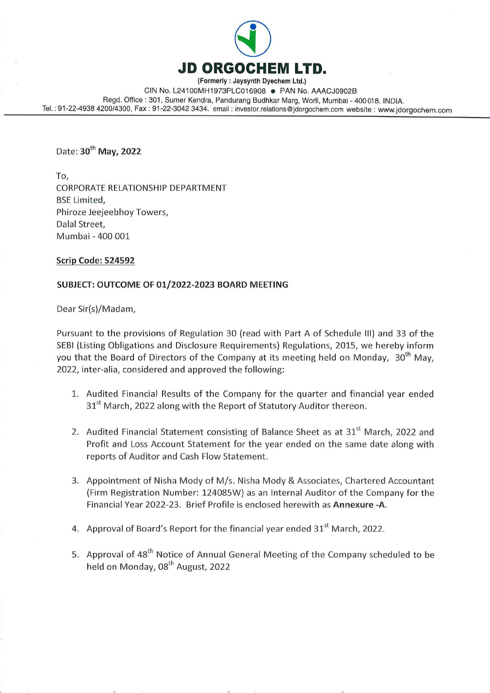

CIN No, L24100MH1973PLC016908 @ PAN No. AAACJO902B Regd. Office : 301, Sumer Kendra, Pandurang Budhkar Marg, Worli, Mumbai - 400018. INDIA. Tel. : 91-22-4938 4200/4300, Fax : 91-22-3042 3434. email : investor.relations @jdorgochem.com website : www.jdorgochem.com

Date: 30<sup>th</sup> May, 2022

To, CORPORATE RELATIONSHIP DEPARTMENT BSE Limited, Phiroze Jeejeebhoy Towers, Dalal Street, Mumbai - 400 001

### Scrip Code: 524592

## SUBJECT: OUTCOME OF 01/2022-2023 BOARD MEETING

Dear Sir(s)/Madam,

Pursuant to the provisions of Regulation 30 (read with Part A of Schedule III) and 33 of the SEBI (Listing Obligations and Disclosure Requirements) Regulations, 2015, we hereby inform you that the Board of Directors of the Company at its meeting held on Monday, 30<sup>th</sup> May, 2022, inter-alia, considered and approved the following:

- 1. Audited Financial Results of the Company for the quarter and financial year ended 31<sup>st</sup> March, 2022 along with the Report of Statutory Auditor thereon.
- 2. Audited Financial Statement consisting of Balance Sheet as at 31<sup>st</sup> March, 2022 and Profit and Loss Account Statement for the year ended on the same date along with reports of Auditor and Cash Flow Statement.
- 3. Appointment of Nisha Mody of M/s. Nisha Mody & Associates, Chartered Accountant (Firm Registration Number: 124085W) as an Internal Auditor of the Company for the Financial Year 2022-23. Brief Profile is enclosed herewith as Annexure -A.
- 4. Approval of Board's Report for the financial year ended  $31<sup>st</sup>$  March, 2022.
- 5. Approval of 48<sup>th</sup> Notice of Annual General Meeting of the Company scheduled to be held on Monday,  $08<sup>th</sup>$  August, 2022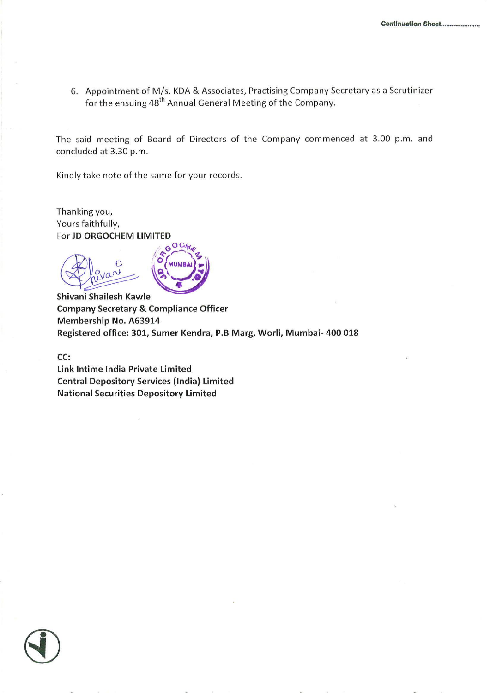6. Appointment of M/s. KDA & Associates, Practising Company Secretary as a Scrutinizer for the ensuing 48" Annual General Meeting of the Company.

The said meeting of Board of Directors of the Company commenced at 3.00 p.m. and concluded at 3.30 p.m.

Kindly take note of the same for your records.

Thanking you, Yours faithfully, For **JD ORGOCHEM LIMITED**<br>COCM

d,  $\sqrt{\phantom{a}}$  $\alpha$   $\alpha$   $\alpha$   $\alpha$  $O_{\lambda/2}$   $N = \sqrt{2}$ 

Shivani Shailesh Kawle Company Secretary & Compliance Officer Membership No. A63914 Registered office: 301, Sumer Kendra, P.B Marg, Worli, Mumbai- 400 018

cc:

Link Intime India Private Limited Central Depository Services (India) Limited National Securities Depository Limited